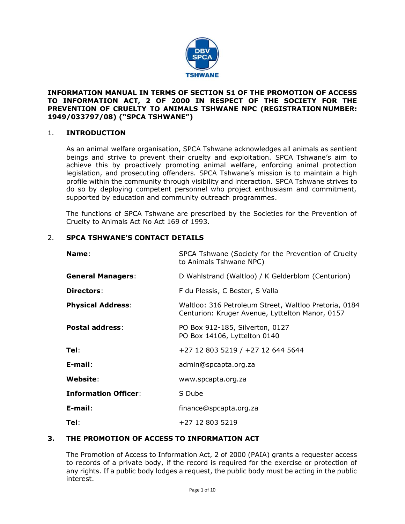

## **INFORMATION MANUAL IN TERMS OF SECTION 51 OF THE PROMOTION OF ACCESS TO INFORMATION ACT, 2 OF 2000 IN RESPECT OF THE SOCIETY FOR THE PREVENTION OF CRUELTY TO ANIMALS TSHWANE NPC (REGISTRATION NUMBER: 1949/033797/08) ("SPCA TSHWANE")**

## 1. **INTRODUCTION**

As an animal welfare organisation, SPCA Tshwane acknowledges all animals as sentient beings and strive to prevent their cruelty and exploitation. SPCA Tshwane's aim to achieve this by proactively promoting animal welfare, enforcing animal protection legislation, and prosecuting offenders. SPCA Tshwane's mission is to maintain a high profile within the community through visibility and interaction. SPCA Tshwane strives to do so by deploying competent personnel who project enthusiasm and commitment, supported by education and community outreach programmes.

The functions of SPCA Tshwane are prescribed by the Societies for the Prevention of Cruelty to Animals Act No Act 169 of 1993.

## 2. **SPCA TSHWANE'S CONTACT DETAILS**

| Name:                       | SPCA Tshwane (Society for the Prevention of Cruelty<br>to Animals Tshwane NPC)                           |  |  |  |  |  |
|-----------------------------|----------------------------------------------------------------------------------------------------------|--|--|--|--|--|
| <b>General Managers:</b>    | D Wahlstrand (Waltloo) / K Gelderblom (Centurion)                                                        |  |  |  |  |  |
| Directors:                  | F du Plessis, C Bester, S Valla                                                                          |  |  |  |  |  |
| <b>Physical Address:</b>    | Waltloo: 316 Petroleum Street, Waltloo Pretoria, 0184<br>Centurion: Kruger Avenue, Lyttelton Manor, 0157 |  |  |  |  |  |
| <b>Postal address:</b>      | PO Box 912-185, Silverton, 0127<br>PO Box 14106, Lyttelton 0140                                          |  |  |  |  |  |
| Tel:                        | +27 12 803 5219 / +27 12 644 5644                                                                        |  |  |  |  |  |
| $E$ -mail:                  | admin@spcapta.org.za                                                                                     |  |  |  |  |  |
| Website:                    | www.spcapta.org.za                                                                                       |  |  |  |  |  |
| <b>Information Officer:</b> | S Dube                                                                                                   |  |  |  |  |  |
| $E$ -mail:                  | finance@spcapta.org.za                                                                                   |  |  |  |  |  |
| Tel:                        | +27 12 803 5219                                                                                          |  |  |  |  |  |

### **3. THE PROMOTION OF ACCESS TO INFORMATION ACT**

The Promotion of Access to Information Act, 2 of 2000 (PAIA) grants a requester access to records of a private body, if the record is required for the exercise or protection of any rights. If a public body lodges a request, the public body must be acting in the public interest.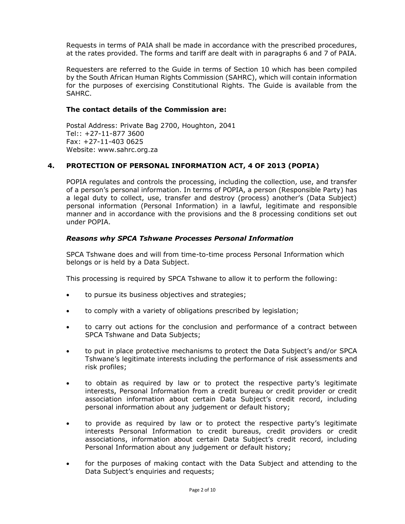Requests in terms of PAIA shall be made in accordance with the prescribed procedures, at the rates provided. The forms and tariff are dealt with in paragraphs 6 and 7 of PAIA.

Requesters are referred to the Guide in terms of Section 10 which has been compiled by the South African Human Rights Commission (SAHRC), which will contain information for the purposes of exercising Constitutional Rights. The Guide is available from the SAHRC.

### **The contact details of the Commission are:**

Postal Address: Private Bag 2700, Houghton, 2041 Tel:: +27-11-877 3600 Fax: +27-11-403 0625 Website: www.sahrc.org.za

## **4. PROTECTION OF PERSONAL INFORMATION ACT, 4 OF 2013 (POPIA)**

POPIA regulates and controls the processing, including the collection, use, and transfer of a person's personal information. In terms of POPIA, a person (Responsible Party) has a legal duty to collect, use, transfer and destroy (process) another's (Data Subject) personal information (Personal Information) in a lawful, legitimate and responsible manner and in accordance with the provisions and the 8 processing conditions set out under POPIA.

### *Reasons why SPCA Tshwane Processes Personal Information*

SPCA Tshwane does and will from time-to-time process Personal Information which belongs or is held by a Data Subject.

This processing is required by SPCA Tshwane to allow it to perform the following:

- to pursue its business objectives and strategies;
- to comply with a variety of obligations prescribed by legislation;
- to carry out actions for the conclusion and performance of a contract between SPCA Tshwane and Data Subjects;
- to put in place protective mechanisms to protect the Data Subject's and/or SPCA Tshwane's legitimate interests including the performance of risk assessments and risk profiles;
- to obtain as required by law or to protect the respective party's legitimate interests, Personal Information from a credit bureau or credit provider or credit association information about certain Data Subject's credit record, including personal information about any judgement or default history;
- to provide as required by law or to protect the respective party's legitimate interests Personal Information to credit bureaus, credit providers or credit associations, information about certain Data Subject's credit record, including Personal Information about any judgement or default history;
- for the purposes of making contact with the Data Subject and attending to the Data Subject's enquiries and requests;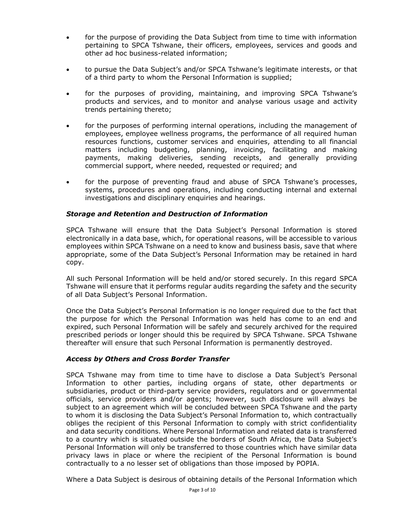- for the purpose of providing the Data Subject from time to time with information pertaining to SPCA Tshwane, their officers, employees, services and goods and other ad hoc business-related information;
- to pursue the Data Subject's and/or SPCA Tshwane's legitimate interests, or that of a third party to whom the Personal Information is supplied;
- for the purposes of providing, maintaining, and improving SPCA Tshwane's products and services, and to monitor and analyse various usage and activity trends pertaining thereto;
- for the purposes of performing internal operations, including the management of employees, employee wellness programs, the performance of all required human resources functions, customer services and enquiries, attending to all financial matters including budgeting, planning, invoicing, facilitating and making payments, making deliveries, sending receipts, and generally providing commercial support, where needed, requested or required; and
- for the purpose of preventing fraud and abuse of SPCA Tshwane's processes, systems, procedures and operations, including conducting internal and external investigations and disciplinary enquiries and hearings.

### *Storage and Retention and Destruction of Information*

SPCA Tshwane will ensure that the Data Subject's Personal Information is stored electronically in a data base, which, for operational reasons, will be accessible to various employees within SPCA Tshwane on a need to know and business basis, save that where appropriate, some of the Data Subject's Personal Information may be retained in hard copy.

All such Personal Information will be held and/or stored securely. In this regard SPCA Tshwane will ensure that it performs regular audits regarding the safety and the security of all Data Subject's Personal Information.

Once the Data Subject's Personal Information is no longer required due to the fact that the purpose for which the Personal Information was held has come to an end and expired, such Personal Information will be safely and securely archived for the required prescribed periods or longer should this be required by SPCA Tshwane. SPCA Tshwane thereafter will ensure that such Personal Information is permanently destroyed.

### *Access by Others and Cross Border Transfer*

SPCA Tshwane may from time to time have to disclose a Data Subject's Personal Information to other parties, including organs of state, other departments or subsidiaries, product or third-party service providers, regulators and or governmental officials, service providers and/or agents; however, such disclosure will always be subject to an agreement which will be concluded between SPCA Tshwane and the party to whom it is disclosing the Data Subject's Personal Information to, which contractually obliges the recipient of this Personal Information to comply with strict confidentiality and data security conditions. Where Personal Information and related data is transferred to a country which is situated outside the borders of South Africa, the Data Subject's Personal Information will only be transferred to those countries which have similar data privacy laws in place or where the recipient of the Personal Information is bound contractually to a no lesser set of obligations than those imposed by POPIA.

Where a Data Subject is desirous of obtaining details of the Personal Information which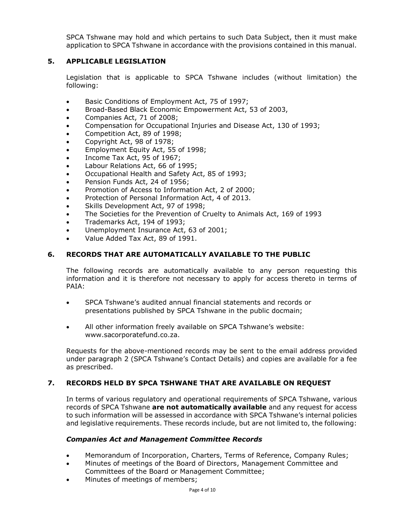SPCA Tshwane may hold and which pertains to such Data Subject, then it must make application to SPCA Tshwane in accordance with the provisions contained in this manual.

## **5. APPLICABLE LEGISLATION**

Legislation that is applicable to SPCA Tshwane includes (without limitation) the following:

- Basic Conditions of Employment Act, 75 of 1997;
- Broad-Based Black Economic Empowerment Act, 53 of 2003,
- Companies Act, 71 of 2008;
- Compensation for Occupational Injuries and Disease Act, 130 of 1993;
- Competition Act, 89 of 1998;
- Copyright Act, 98 of 1978;
- Employment Equity Act, 55 of 1998;
- Income Tax Act, 95 of 1967;
- Labour Relations Act, 66 of 1995;
- Occupational Health and Safety Act, 85 of 1993;
- Pension Funds Act, 24 of 1956;
- Promotion of Access to Information Act, 2 of 2000;
- Protection of Personal Information Act, 4 of 2013.
- Skills Development Act, 97 of 1998;
- The Societies for the Prevention of Cruelty to Animals Act, 169 of 1993
- Trademarks Act, 194 of 1993;
- Unemployment Insurance Act, 63 of 2001;
- Value Added Tax Act, 89 of 1991.

### **6. RECORDS THAT ARE AUTOMATICALLY AVAILABLE TO THE PUBLIC**

The following records are automatically available to any person requesting this information and it is therefore not necessary to apply for access thereto in terms of PAIA:

- SPCA Tshwane's audited annual financial statements and records or presentations published by SPCA Tshwane in the public docmain;
- All other information freely available on SPCA Tshwane's website: www.sacorporatefund.co.za.

Requests for the above-mentioned records may be sent to the email address provided under paragraph 2 (SPCA Tshwane's Contact Details) and copies are available for a fee as prescribed.

### **7. RECORDS HELD BY SPCA TSHWANE THAT ARE AVAILABLE ON REQUEST**

In terms of various regulatory and operational requirements of SPCA Tshwane, various records of SPCA Tshwane **are not automatically available** and any request for access to such information will be assessed in accordance with SPCA Tshwane's internal policies and legislative requirements. These records include, but are not limited to, the following:

### *Companies Act and Management Committee Records*

- Memorandum of Incorporation, Charters, Terms of Reference, Company Rules;
- Minutes of meetings of the Board of Directors, Management Committee and Committees of the Board or Management Committee;
- Minutes of meetings of members;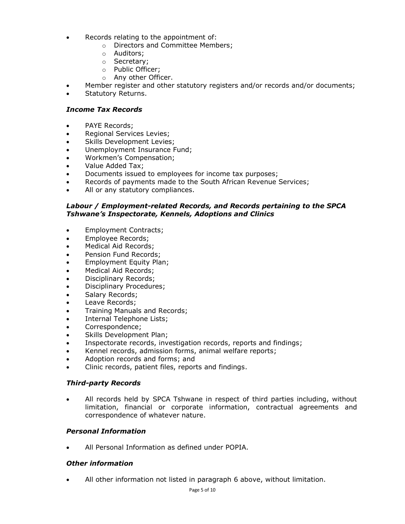- Records relating to the appointment of:
	- o Directors and Committee Members;
	- o Auditors;
	- o Secretary;
	- o Public Officer;
	- o Any other Officer.
- Member register and other statutory registers and/or records and/or documents;
- Statutory Returns.

### *Income Tax Records*

- PAYE Records:
- Regional Services Levies;
- Skills Development Levies;
- Unemployment Insurance Fund;
- Workmen's Compensation;
- Value Added Tax;
- Documents issued to employees for income tax purposes;
- Records of payments made to the South African Revenue Services;
- All or any statutory compliances.

### *Labour / Employment-related Records, and Records pertaining to the SPCA Tshwane's Inspectorate, Kennels, Adoptions and Clinics*

- Employment Contracts;
- Employee Records;
- Medical Aid Records;
- Pension Fund Records;
- Employment Equity Plan;
- Medical Aid Records;
- Disciplinary Records;
- Disciplinary Procedures;
- Salary Records;
- Leave Records;
- Training Manuals and Records;
- Internal Telephone Lists;
- Correspondence;
- Skills Development Plan;
- Inspectorate records, investigation records, reports and findings;
- Kennel records, admission forms, animal welfare reports;
- Adoption records and forms; and
- Clinic records, patient files, reports and findings.

### *Third-party Records*

• All records held by SPCA Tshwane in respect of third parties including, without limitation, financial or corporate information, contractual agreements and correspondence of whatever nature.

### *Personal Information*

• All Personal Information as defined under POPIA.

### *Other information*

• All other information not listed in paragraph 6 above, without limitation.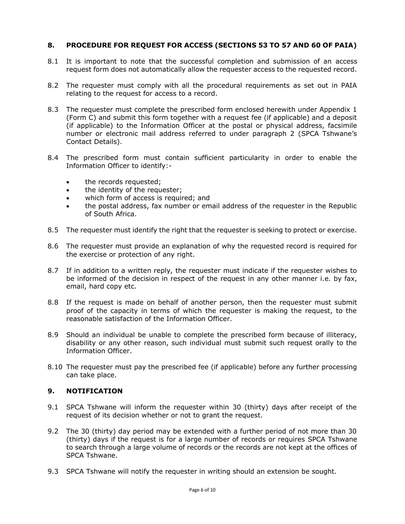# **8. PROCEDURE FOR REQUEST FOR ACCESS (SECTIONS 53 TO 57 AND 60 OF PAIA)**

- 8.1 It is important to note that the successful completion and submission of an access request form does not automatically allow the requester access to the requested record.
- 8.2 The requester must comply with all the procedural requirements as set out in PAIA relating to the request for access to a record.
- 8.3 The requester must complete the prescribed form enclosed herewith under Appendix 1 (Form C) and submit this form together with a request fee (if applicable) and a deposit (if applicable) to the Information Officer at the postal or physical address, facsimile number or electronic mail address referred to under paragraph 2 (SPCA Tshwane's Contact Details).
- 8.4 The prescribed form must contain sufficient particularity in order to enable the Information Officer to identify:-
	- the records requested;
	- the identity of the requester;
	- which form of access is required; and
	- the postal address, fax number or email address of the requester in the Republic of South Africa.
- 8.5 The requester must identify the right that the requester is seeking to protect or exercise.
- 8.6 The requester must provide an explanation of why the requested record is required for the exercise or protection of any right.
- 8.7 If in addition to a written reply, the requester must indicate if the requester wishes to be informed of the decision in respect of the request in any other manner i.e. by fax, email, hard copy etc.
- 8.8 If the request is made on behalf of another person, then the requester must submit proof of the capacity in terms of which the requester is making the request, to the reasonable satisfaction of the Information Officer.
- 8.9 Should an individual be unable to complete the prescribed form because of illiteracy, disability or any other reason, such individual must submit such request orally to the Information Officer.
- 8.10 The requester must pay the prescribed fee (if applicable) before any further processing can take place.

# **9. NOTIFICATION**

- 9.1 SPCA Tshwane will inform the requester within 30 (thirty) days after receipt of the request of its decision whether or not to grant the request.
- 9.2 The 30 (thirty) day period may be extended with a further period of not more than 30 (thirty) days if the request is for a large number of records or requires SPCA Tshwane to search through a large volume of records or the records are not kept at the offices of SPCA Tshwane.
- 9.3 SPCA Tshwane will notify the requester in writing should an extension be sought.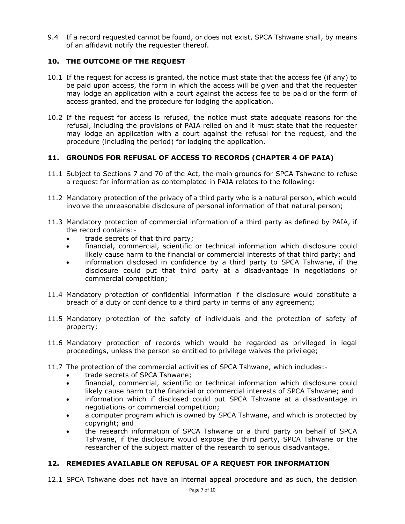9.4 If a record requested cannot be found, or does not exist, SPCA Tshwane shall, by means of an affidavit notify the requester thereof.

# **10. THE OUTCOME OF THE REQUEST**

- 10.1 If the request for access is granted, the notice must state that the access fee (if any) to be paid upon access, the form in which the access will be given and that the requester may lodge an application with a court against the access fee to be paid or the form of access granted, and the procedure for lodging the application.
- 10.2 If the request for access is refused, the notice must state adequate reasons for the refusal, including the provisions of PAIA relied on and it must state that the requester may lodge an application with a court against the refusal for the request, and the procedure (including the period) for lodging the application.

### **11. GROUNDS FOR REFUSAL OF ACCESS TO RECORDS (CHAPTER 4 OF PAIA)**

- 11.1 Subject to Sections 7 and 70 of the Act, the main grounds for SPCA Tshwane to refuse a request for information as contemplated in PAIA relates to the following:
- 11.2 Mandatory protection of the privacy of a third party who is a natural person, which would involve the unreasonable disclosure of personal information of that natural person;
- 11.3 Mandatory protection of commercial information of a third party as defined by PAIA, if the record contains:-
	- trade secrets of that third party;
	- financial, commercial, scientific or technical information which disclosure could likely cause harm to the financial or commercial interests of that third party; and
	- information disclosed in confidence by a third party to SPCA Tshwane, if the disclosure could put that third party at a disadvantage in negotiations or commercial competition;
- 11.4 Mandatory protection of confidential information if the disclosure would constitute a breach of a duty or confidence to a third party in terms of any agreement;
- 11.5 Mandatory protection of the safety of individuals and the protection of safety of property;
- 11.6 Mandatory protection of records which would be regarded as privileged in legal proceedings, unless the person so entitled to privilege waives the privilege;
- 11.7 The protection of the commercial activities of SPCA Tshwane, which includes:-
	- trade secrets of SPCA Tshwane;
	- financial, commercial, scientific or technical information which disclosure could likely cause harm to the financial or commercial interests of SPCA Tshwane; and
	- information which if disclosed could put SPCA Tshwane at a disadvantage in negotiations or commercial competition;
	- a computer program which is owned by SPCA Tshwane, and which is protected by copyright; and
	- the research information of SPCA Tshwane or a third party on behalf of SPCA Tshwane, if the disclosure would expose the third party, SPCA Tshwane or the researcher of the subject matter of the research to serious disadvantage.

# **12. REMEDIES AVAILABLE ON REFUSAL OF A REQUEST FOR INFORMATION**

12.1 SPCA Tshwane does not have an internal appeal procedure and as such, the decision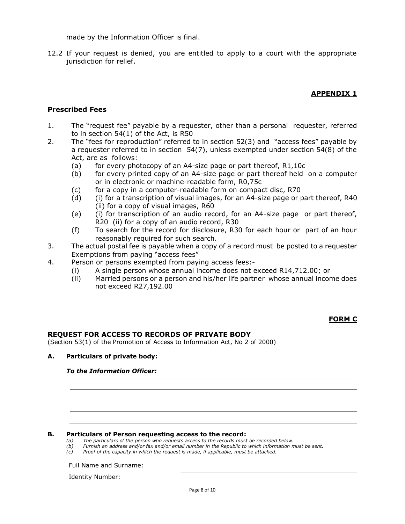made by the Information Officer is final.

12.2 If your request is denied, you are entitled to apply to a court with the appropriate jurisdiction for relief.

## **APPENDIX 1**

### **Prescribed Fees**

- 1. The "request fee" payable by a requester, other than a personal requester, referred to in section 54(1) of the Act, is R50
- 2. The "fees for reproduction" referred to in section 52(3) and "access fees" payable by a requester referred to in section 54(7), unless exempted under section 54(8) of the Act, are as follows:
	- (a) for every photocopy of an A4-size page or part thereof, R1,10c
	- (b) for every printed copy of an A4-size page or part thereof held on a computer or in electronic or machine-readable form, R0,75c
	- (c) for a copy in a computer-readable form on compact disc, R70
	- (d) (i) for a transcription of visual images, for an A4-size page or part thereof, R40 (ii) for a copy of visual images, R60
	- (e) (i) for transcription of an audio record, for an A4-size page or part thereof, R20 (ii) for a copy of an audio record, R30
	- (f) To search for the record for disclosure, R30 for each hour or part of an hour reasonably required for such search.
- 3. The actual postal fee is payable when a copy of a record must be posted to a requester Exemptions from paying "access fees"
- 4. Person or persons exempted from paying access fees:-
	- (i) A single person whose annual income does not exceed R14,712.00; or
	- (ii) Married persons or a person and his/her life partner whose annual income does not exceed R27,192.00

### **FORM C**

### **REQUEST FOR ACCESS TO RECORDS OF PRIVATE BODY**

(Section 53(1) of the Promotion of Access to Information Act, No 2 of 2000)

#### **A. Particulars of private body:**

### *To the Information Officer:*

#### **B. Particulars of Person requesting access to the record:**

*(a) The particulars of the person who requests access to the records must be recorded below.*

- *(b) Furnish an address and/or fax and/or email number in the Republic to which information must be sent.*
- *(c) Proof of the capacity in which the request is made, if applicable, must be attached.*

#### Full Name and Surname:

Identity Number: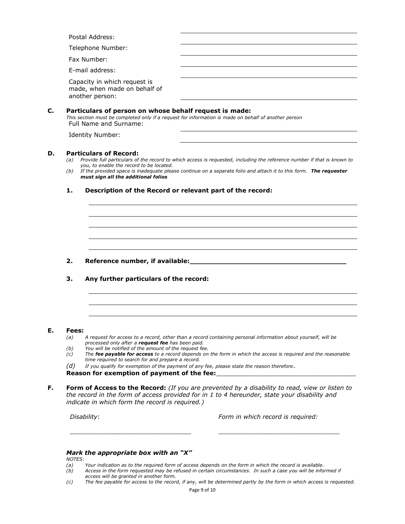|    | Postal Address:                                                                         |                                                                                                                                                                                                                                                                                   |
|----|-----------------------------------------------------------------------------------------|-----------------------------------------------------------------------------------------------------------------------------------------------------------------------------------------------------------------------------------------------------------------------------------|
|    | Telephone Number:                                                                       |                                                                                                                                                                                                                                                                                   |
|    | Fax Number:                                                                             |                                                                                                                                                                                                                                                                                   |
|    | E-mail address:                                                                         |                                                                                                                                                                                                                                                                                   |
|    | Capacity in which request is<br>made, when made on behalf of<br>another person:         |                                                                                                                                                                                                                                                                                   |
| C. | Full Name and Surname:                                                                  | Particulars of person on whose behalf request is made:<br>This section must be completed only if a request for information is made on behalf of another person                                                                                                                    |
|    | Identity Number:                                                                        |                                                                                                                                                                                                                                                                                   |
| D. | <b>Particulars of Record:</b><br>(a)<br>you, to enable the record to be located.<br>(b) | Provide full particulars of the record to which access is requested, including the reference number if that is known to<br>If the provided space is inadequate please continue on a separate folio and attach it to this form. The requester                                      |
|    | must sign all the additional folios                                                     |                                                                                                                                                                                                                                                                                   |
|    | 1.                                                                                      | Description of the Record or relevant part of the record:                                                                                                                                                                                                                         |
|    |                                                                                         |                                                                                                                                                                                                                                                                                   |
|    | 2.                                                                                      |                                                                                                                                                                                                                                                                                   |
|    | 3.                                                                                      | Any further particulars of the record:                                                                                                                                                                                                                                            |
|    |                                                                                         |                                                                                                                                                                                                                                                                                   |
| Е. | Fees:                                                                                   |                                                                                                                                                                                                                                                                                   |
|    | (a)                                                                                     | A request for access to a record, other than a record containing personal information about yourself, will be                                                                                                                                                                     |
|    | (b)<br>(c)                                                                              | processed only after a request fee has been paid.<br>You will be notified of the amount of the request fee.<br>The fee payable for access to a record depends on the form in which the access is required and the reasonable<br>time required to search for and prepare a record. |

*the record in the form of access provided for in 1 to 4 hereunder, state your disability and indicate in which form the record is required.)*

 $\_$  , and the set of the set of the set of the set of the set of the set of the set of the set of the set of the set of the set of the set of the set of the set of the set of the set of the set of the set of the set of th

*Disability*: *Form in which record is required:*

### *Mark the appropriate box with an "X"*

- *(a) Your indication as to the required form of access depends on the form in which the record is available.*
- *NOTES:*<br>(a)<br>(b) *(b) Access in the form requested may be refused in certain circumstances. In such a case you will be informed if access will be granted in another form.*
- *(c) The fee payable for access to the record, if any, will be determined partly by the form in which access is requested.*